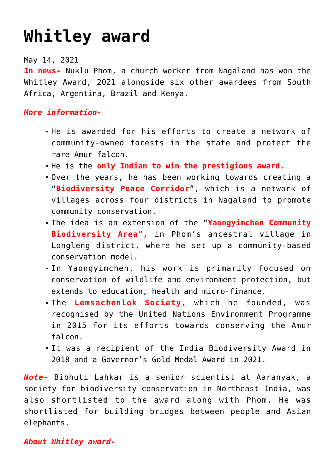## **[Whitley award](https://journalsofindia.com/whitley-award/)**

May 14, 2021

**In news-** Nuklu Phom, a church worker from Nagaland has won the Whitley Award, 2021 alongside six other awardees from South Africa, Argentina, Brazil and Kenya.

## *More information-*

- He is awarded for his efforts to create a network of community-owned forests in the state and protect the rare Amur falcon.
- He is the **only Indian to win the prestigious award.**
- Over the years, he has been working towards creating a "**Biodiversity Peace Corridor**", which is a network of villages across four districts in Nagaland to promote community conservation.
- The idea is an extension of the "**Yaongyimchen Community Biodiversity Area",** in Phom's ancestral village in Longleng district, where he set up a community-based conservation model.
- In Yaongyimchen, his work is primarily focused on conservation of wildlife and environment protection, but extends to education, health and micro-finance.
- The **Lemsachenlok Society,** which he founded, was recognised by the United Nations Environment Programme in 2015 for its efforts towards conserving the Amur falcon
- It was a recipient of the India Biodiversity Award in 2018 and a Governor's Gold Medal Award in 2021.

*Note-* Bibhuti Lahkar is a senior scientist at Aaranyak, a society for biodiversity conservation in Northeast India, was also shortlisted to the award along with Phom. He was shortlisted for building bridges between people and Asian elephants.